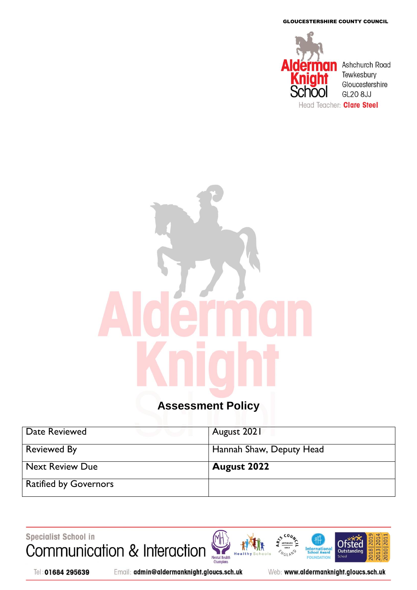GLOUCESTERSHIRE COUNTY COUNCIL



# **Assessment Policy**

| Date Reviewed                | August 2021              |
|------------------------------|--------------------------|
| <b>Reviewed By</b>           | Hannah Shaw, Deputy Head |
| <b>Next Review Due</b>       | <b>August 2022</b>       |
| <b>Ratified by Governors</b> |                          |

Specialist School in Communication & Interaction





Email: admin@aldermanknight.gloucs.sch.uk

Web: www.aldermanknight.gloucs.sch.uk

**International**<br>School Award

FOU NDATION

**NGLAND** 

2018 20

na

2010 20 2013|20

**Ofsted** 

Outstand

**Schoo**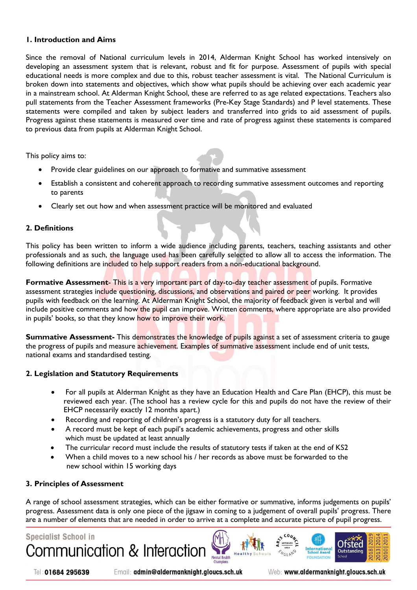#### **1. Introduction and Aims**

Since the removal of National curriculum levels in 2014, Alderman Knight School has worked intensively on developing an assessment system that is relevant, robust and fit for purpose. Assessment of pupils with special educational needs is more complex and due to this, robust teacher assessment is vital. The National Curriculum is broken down into statements and objectives, which show what pupils should be achieving over each academic year in a mainstream school. At Alderman Knight School, these are referred to as age related expectations. Teachers also pull statements from the Teacher Assessment frameworks (Pre-Key Stage Standards) and P level statements. These statements were compiled and taken by subject leaders and transferred into grids to aid assessment of pupils. Progress against these statements is measured over time and rate of progress against these statements is compared to previous data from pupils at Alderman Knight School.

This policy aims to:

- Provide clear guidelines on our approach to formative and summative assessment
- Establish a consistent and coherent approach to recording summative assessment outcomes and reporting to parents
- Clearly set out how and when assessment practice will be monitored and evaluated

#### **2. Definitions**

This policy has been written to inform a wide audience including parents, teachers, teaching assistants and other professionals and as such, the language used has been carefully selected to allow all to access the information. The following definitions are included to help support readers from a non-educational background.

**Formative Assessment**- This is a very important part of day-to-day teacher assessment of pupils. Formative assessment strategies include questioning, discussions, and observations and paired or peer working. It provides pupils with feedback on the learning. At Alderman Knight School, the majority of feedback given is verbal and will include positive comments and how the pupil can improve. Written comments, where appropriate are also provided in pupils' books, so that they know how to improve their work.

**Summative Assessment-** This demonstrates the knowledge of pupils against a set of assessment criteria to gauge the progress of pupils and measure achievement. Examples of summative assessment include end of unit tests, national exams and standardised testing.

#### **2. Legislation and Statutory Requirements**

- For all pupils at Alderman Knight as they have an Education Health and Care Plan (EHCP), this must be reviewed each year. (The school has a review cycle for this and pupils do not have the review of their EHCP necessarily exactly 12 months apart.)
- Recording and reporting of children's progress is a statutory duty for all teachers.
- A record must be kept of each pupil's academic achievements, progress and other skills which must be updated at least annually
- The curricular record must include the results of statutory tests if taken at the end of KS2
- When a child moves to a new school his / her records as above must be forwarded to the new school within 15 working days

#### **3. Principles of Assessment**

A range of school assessment strategies, which can be either formative or summative, informs judgements on pupils' progress. Assessment data is only one piece of the jigsaw in coming to a judgement of overall pupils' progress. There are a number of elements that are needed in order to arrive at a complete and accurate picture of pupil progress.

Mental Health



Tel: 01684 295639

Email: admin@aldermanknight.gloucs.sch.uk

Web: www.aldermanknight.gloucs.sch.uk

International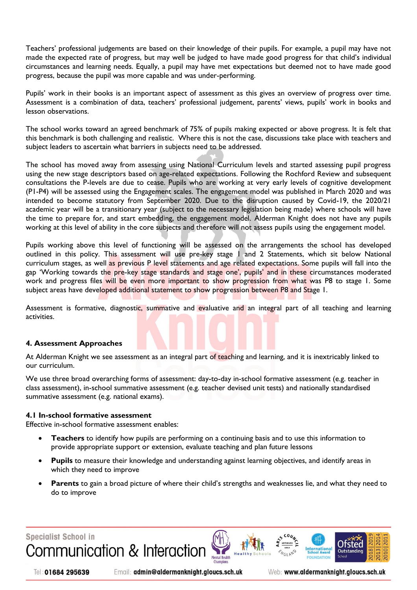Teachers' professional judgements are based on their knowledge of their pupils. For example, a pupil may have not made the expected rate of progress, but may well be judged to have made good progress for that child's individual circumstances and learning needs. Equally, a pupil may have met expectations but deemed not to have made good progress, because the pupil was more capable and was under-performing.

Pupils' work in their books is an important aspect of assessment as this gives an overview of progress over time. Assessment is a combination of data, teachers' professional judgement, parents' views, pupils' work in books and lesson observations.

The school works toward an agreed benchmark of 75% of pupils making expected or above progress. It is felt that this benchmark is both challenging and realistic. Where this is not the case, discussions take place with teachers and subject leaders to ascertain what barriers in subjects need to be addressed.

The school has moved away from assessing using National Curriculum levels and started assessing pupil progress using the new stage descriptors based on age-related expectations. Following the Rochford Review and subsequent consultations the P-levels are due to cease. Pupils who are working at very early levels of cognitive development (P1-P4) will be assessed using the Engagement scales. The engagement model was published in March 2020 and was intended to become statutory from September 2020. Due to the disruption caused by Covid-19, the 2020/21 academic year will be a transitionary year (subject to the necessary legislation being made) where schools will have the time to prepare for, and start embedding, the engagement model. Alderman Knight does not have any pupils working at this level of ability in the core subjects and therefore will not assess pupils using the engagement model.

Pupils working above this level of functioning will be assessed on the arrangements the school has developed outlined in this policy. This assessment will use pre-key stage 1 and 2 Statements, which sit below National curriculum stages, as well as previous P level statements and age related expectations. Some pupils will fall into the gap 'Working towards the pre-key stage standards and stage one', pupils' and in these circumstances moderated work and progress files will be even more important to show progression from what was P8 to stage 1. Some subject areas have developed additional statement to show progression between P8 and Stage 1.

Assessment is formative, diagnostic, summative and evaluative and an integral part of all teaching and learning activities.

#### **4. Assessment Approaches**

At Alderman Knight we see assessment as an integral part of teaching and learning, and it is inextricably linked to our curriculum.

We use three broad overarching forms of assessment: day-to-day in-school formative assessment (e.g. teacher in class assessment), in-school summative assessment (e.g. teacher devised unit tests) and nationally standardised summative assessment (e.g. national exams).

#### **4.1 In-school formative assessment**

Effective in-school formative assessment enables:

- **Teachers** to identify how pupils are performing on a continuing basis and to use this information to provide appropriate support or extension, evaluate teaching and plan future lessons
- **Pupils** to measure their knowledge and understanding against learning objectives, and identify areas in which they need to improve
- **Parents** to gain a broad picture of where their child's strengths and weaknesses lie, and what they need to do to improve

## **Specialist School in** Communication & Interaction



Email: admin@aldermanknight.gloucs.sch.uk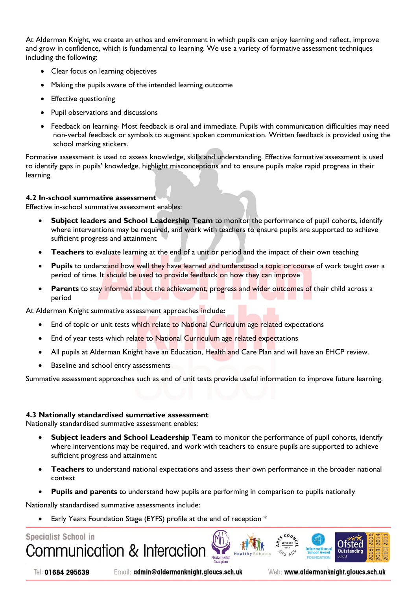At Alderman Knight, we create an ethos and environment in which pupils can enjoy learning and reflect, improve and grow in confidence, which is fundamental to learning. We use a variety of formative assessment techniques including the following:

- Clear focus on learning objectives
- Making the pupils aware of the intended learning outcome
- Effective questioning
- Pupil observations and discussions
- Feedback on learning- Most feedback is oral and immediate. Pupils with communication difficulties may need non-verbal feedback or symbols to augment spoken communication. Written feedback is provided using the school marking stickers.

Formative assessment is used to assess knowledge, skills and understanding. Effective formative assessment is used to identify gaps in pupils' knowledge, highlight misconceptions and to ensure pupils make rapid progress in their learning.

#### **4.2 In-school summative assessment**

Effective in-school summative assessment enables:

- **Subject leaders and School Leadership Team** to monitor the performance of pupil cohorts, identify where interventions may be required, and work with teachers to ensure pupils are supported to achieve sufficient progress and attainment
- **Teachers** to evaluate learning at the end of a unit or period and the impact of their own teaching
- **Pupils** to understand how well they have learned and understood a topic or course of work taught over a period of time. It should be used to provide feedback on how they can improve
- **Parents** to stay informed about the achievement, progress and wider outcomes of their child across a period

At Alderman Knight summative assessment approaches include**:** 

- End of topic or unit tests which relate to National Curriculum age related expectations
- End of year tests which relate to National Curriculum age related expectations
- All pupils at Alderman Knight have an Education, Health and Care Plan and will have an EHCP review.
- Baseline and school entry assessments

Summative assessment approaches such as end of unit tests provide useful information to improve future learning.

#### **4.3 Nationally standardised summative assessment**

Nationally standardised summative assessment enables:

- **Subject leaders and School Leadership Team** to monitor the performance of pupil cohorts, identify where interventions may be required, and work with teachers to ensure pupils are supported to achieve sufficient progress and attainment
- **Teachers** to understand national expectations and assess their own performance in the broader national context
- **Pupils and parents** to understand how pupils are performing in comparison to pupils nationally

Nationally standardised summative assessments include:

Early Years Foundation Stage (EYFS) profile at the end of reception \*



Tel: 01684 295639

Email: admin@aldermanknight.gloucs.sch.uk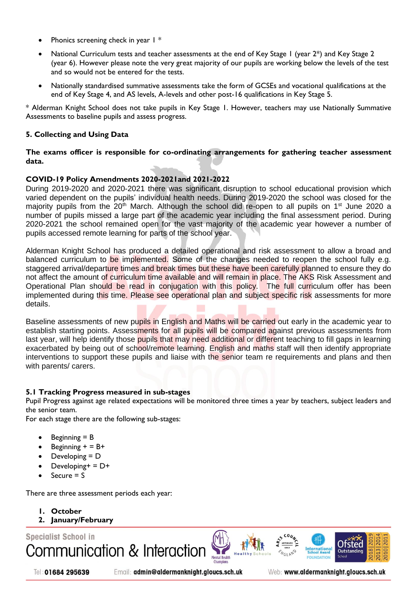- Phonics screening check in year 1  $*$
- National Curriculum tests and teacher assessments at the end of Key Stage 1 (year 2\*) and Key Stage 2 (year 6). However please note the very great majority of our pupils are working below the levels of the test and so would not be entered for the tests.
- Nationally standardised summative assessments take the form of GCSEs and vocational qualifications at the end of Key Stage 4, and AS levels, A-levels and other post-16 qualifications in Key Stage 5.

\* Alderman Knight School does not take pupils in Key Stage 1. However, teachers may use Nationally Summative Assessments to baseline pupils and assess progress.

#### **5. Collecting and Using Data**

**The exams officer is responsible for co-ordinating arrangements for gathering teacher assessment data.**

#### **COVID-19 Policy Amendments 2020-2021and 2021-2022**

During 2019-2020 and 2020-2021 there was significant disruption to school educational provision which varied dependent on the pupils' individual health needs. During 2019-2020 the school was closed for the majority pupils from the  $20<sup>th</sup>$  March. Although the school did re-open to all pupils on 1<sup>st</sup> June 2020 a number of pupils missed a large part of the academic year including the final assessment period. During 2020-2021 the school remained open for the vast majority of the academic year however a number of pupils accessed remote learning for parts of the school year.

Alderman Knight School has produced a detailed operational and risk assessment to allow a broad and balanced curriculum to be implemented. Some of the changes needed to reopen the school fully e.g. staggered arrival/departure times and break times but these have been carefully planned to ensure they do not affect the amount of curriculum time available and will remain in place. The AKS Risk Assessment and Operational Plan should be read in conjugation with this policy. The full curriculum offer has been implemented during this time. Please see operational plan and subject specific risk assessments for more details.

Baseline assessments of new pupils in English and Maths will be carried out early in the academic year to establish starting points. Assessments for all pupils will be compared against previous assessments from last year, will help identify those pupils that may need additional or different teaching to fill gaps in learning exacerbated by being out of school/remote learning. English and maths staff will then identify appropriate interventions to support these pupils and liaise with the senior team re requirements and plans and then with parents/ carers.

#### **5.1 Tracking Progress measured in sub-stages**

Pupil Progress against age related expectations will be monitored three times a year by teachers, subject leaders and the senior team.

**Mental Health** 

For each stage there are the following sub-stages:

- Beginning = B
- Beginning  $+ = B+$
- Developing = D
- Developing+ = D+
- Secure = S

There are three assessment periods each year:

- **1. October**
- **2. January/February**

**Specialist School in** Communication & Interaction

Tel: 01684 295639

Email: admin@aldermanknight.gloucs.sch.uk

Web: www.aldermanknight.gloucs.sch.uk

International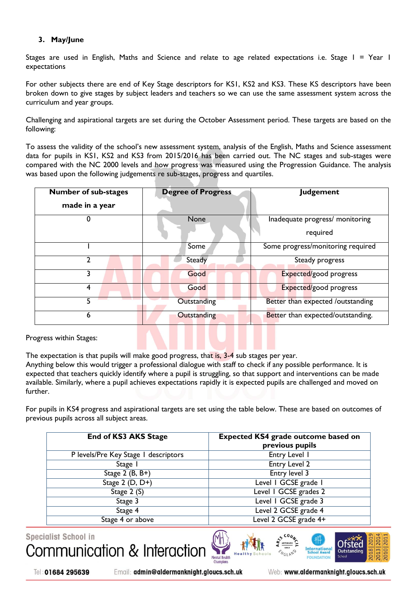### **3. May/June**

Stages are used in English, Maths and Science and relate to age related expectations i.e. Stage I = Year I expectations

For other subjects there are end of Key Stage descriptors for KS1, KS2 and KS3. These KS descriptors have been broken down to give stages by subject leaders and teachers so we can use the same assessment system across the curriculum and year groups.

Challenging and aspirational targets are set during the October Assessment period. These targets are based on the following:

To assess the validity of the school's new assessment system, analysis of the English, Maths and Science assessment data for pupils in KS1, KS2 and KS3 from 2015/2016 has been carried out. The NC stages and sub-stages were compared with the NC 2000 levels and how progress was measured using the Progression Guidance. The analysis was based upon the following judgements re sub-stages, progress and quartiles.

| <b>Number of sub-stages</b><br>made in a year | <b>Degree of Progress</b> | <b>Judgement</b>                            |
|-----------------------------------------------|---------------------------|---------------------------------------------|
|                                               | None                      | Inadequate progress/ monitoring<br>required |
|                                               | Some                      | Some progress/monitoring required           |
| າ                                             | <b>Steady</b>             | Steady progress                             |
|                                               | Good                      | Expected/good progress                      |
| 4                                             | Good                      | Expected/good progress                      |
| 5                                             | Outstanding               | Better than expected /outstanding           |
| 6                                             | Outstanding               | Better than expected/outstanding.           |

Progress within Stages:

The expectation is that pupils will make good progress, that is, 3-4 sub stages per year.

Anything below this would trigger a professional dialogue with staff to check if any possible performance. It is expected that teachers quickly identify where a pupil is struggling, so that support and interventions can be made available. Similarly, where a pupil achieves expectations rapidly it is expected pupils are challenged and moved on further.

For pupils in KS4 progress and aspirational targets are set using the table below. These are based on outcomes of previous pupils across all subject areas.

| <b>End of KS3 AKS Stage</b>          | <b>Expected KS4 grade outcome based on</b><br>previous pupils |
|--------------------------------------|---------------------------------------------------------------|
| P levels/Pre Key Stage 1 descriptors | Entry Level I                                                 |
| Stage I                              | Entry Level 2                                                 |
| Stage $2$ (B, B+)                    | Entry level 3                                                 |
| Stage $2(D, D+)$                     | Level I GCSE grade I                                          |
| Stage 2 (S)                          | Level 1 GCSE grades 2                                         |
| Stage 3                              | Level 1 GCSE grade 3                                          |
| Stage 4                              | Level 2 GCSE grade 4                                          |
| Stage 4 or above                     | Level 2 GCSE grade 4+                                         |

**Specialist School in** Communication & Interaction **Mental Health** 





Tel: 01684 295639

Email: admin@aldermanknight.gloucs.sch.uk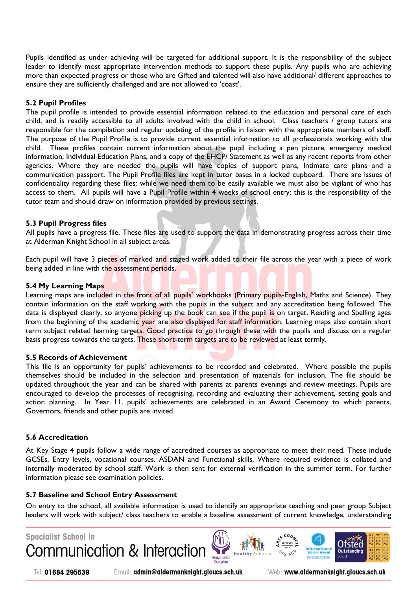Pupils identified as under achieving will be targeted for additional support. It is the responsibility of the subject leader to identify most appropriate intervention methods to support these pupils. Any pupils who are achieving more than expected progress or those who are Gifted and talented will also have additional/ different approaches to ensure they are sufficiently challenged and are not allowed to 'coast'.

#### **5.2 Pupil Profiles**

The pupil profile is intended to provide essential information related to the education and personal care of each child, and is readily accessible to all adults involved with the child in school. Class teachers / group tutors are responsible for the compilation and regular updating of the profile in liaison with the appropriate members of staff. The purpose of the Pupil Profile is to provide current essential information to all professionals working with the child. These profiles contain current information about the pupil including a pen picture, emergency medical information, Individual Education Plans, and a copy of the EHCP/ Statement as well as any recent reports from other agencies. Where they are needed the pupils will have copies of support plans, Intimate care plans and a communication passport. The Pupil Profile files are kept in tutor bases in a locked cupboard. There are issues of confidentiality regarding these files: while we need them to be easily available we must also be vigilant of who has access to them. All pupils will have a Pupil Profile within 4 weeks of school entry; this is the responsibility of the tutor team and should draw on information provided by previous settings.

#### **5.3 Pupil Progress files**

All pupils have a progress file. These files are used to support the data in demonstrating progress across their time at Alderman Knight School in all subject areas.

Each pupil will have 3 pieces of marked and staged work added to their file across the year with a piece of work being added in line with the assessment periods.

#### **5.4 My Learning Maps**

Learning maps are included in the front of all pupils' workbooks (Primary pupils-English, Maths and Science). They contain information on the staff working with the pupils in the subject and any accreditation being followed. The data is displayed clearly, so anyone picking up the book can see if the pupil is on target. Reading and Spelling ages from the beginning of the academic year are also displayed for staff information. Learning maps also contain short term subject related learning targets. Good practice to go through these with the pupils and discuss on a regular basis progress towards the targets. These short-term targets are to be reviewed at least termly.

#### **5.5 Records of Achievement**

This file is an opportunity for pupils' achievements to be recorded and celebrated. Where possible the pupils themselves should be included in the selection and presentation of materials for inclusion. The file should be updated throughout the year and can be shared with parents at parents evenings and review meetings. Pupils are encouraged to develop the processes of recognising, recording and evaluating their achievement, setting goals and action planning. In Year 11, pupils' achievements are celebrated in an Award Ceremony to which parents, Governors, friends and other pupils are invited.

#### **5.6 Accreditation**

At Key Stage 4 pupils follow a wide range of accredited courses as appropriate to meet their need. These include GCSEs, Entry levels, vocational courses. ASDAN and Functional skills. Where required evidence is collated and internally moderated by school staff. Work is then sent for external verification in the summer term. For further information please see examination policies.

#### **5.7 Baseline and School Entry Assessment**

On entry to the school, all available information is used to identify an appropriate teaching and peer group Subject leaders will work with subject/ class teachers to enable a baseline assessment of current knowledge, understanding



Tel: 01684 295639

Email: admin@aldermanknight.gloucs.sch.uk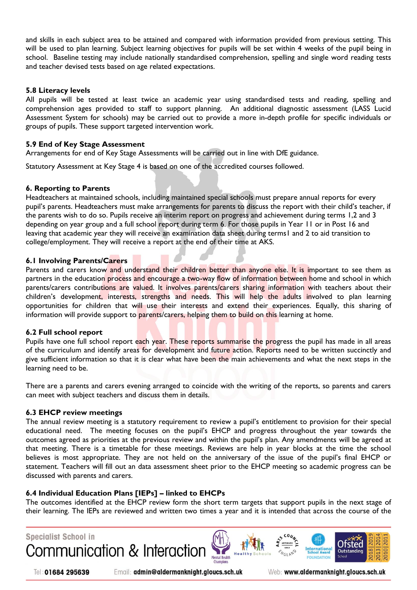and skills in each subject area to be attained and compared with information provided from previous setting. This will be used to plan learning. Subject learning objectives for pupils will be set within 4 weeks of the pupil being in school. Baseline testing may include nationally standardised comprehension, spelling and single word reading tests and teacher devised tests based on age related expectations.

#### **5.8 Literacy levels**

All pupils will be tested at least twice an academic year using standardised tests and reading, spelling and comprehension ages provided to staff to support planning. An additional diagnostic assessment (LASS Lucid Assessment System for schools) may be carried out to provide a more in-depth profile for specific individuals or groups of pupils. These support targeted intervention work.

#### **5.9 End of Key Stage Assessment**

Arrangements for end of Key Stage Assessments will be carried out in line with DfE guidance.

Statutory Assessment at Key Stage 4 is based on one of the accredited courses followed.

#### **6. Reporting to Parents**

Headteachers at maintained schools, including maintained special schools must prepare annual reports for every pupil's parents. Headteachers must make arrangements for parents to discuss the report with their child's teacher, if the parents wish to do so. Pupils receive an interim report on progress and achievement during terms 1,2 and 3 depending on year group and a full school report during term 6. For those pupils in Year 11 or in Post 16 and leaving that academic year they will receive an examination data sheet during terms1 and 2 to aid transition to college/employment. They will receive a report at the end of their time at AKS.

#### **6.1 Involving Parents/Carers**

Parents and carers know and understand their children better than anyone else. It is important to see them as partners in the education process and encourage a two-way flow of information between home and school in which parents/carers contributions are valued. It involves parents/carers sharing information with teachers about their children's development, interests, strengths and needs. This will help the adults involved to plan learning opportunities for children that will use their interests and extend their experiences. Equally, this sharing of information will provide support to parents/carers, helping them to build on this learning at home.

#### **6.2 Full school report**

Pupils have one full school report each year. These reports summarise the progress the pupil has made in all areas of the curriculum and identify areas for development and future action. Reports need to be written succinctly and give sufficient information so that it is clear what have been the main achievements and what the next steps in the learning need to be.

There are a parents and carers evening arranged to coincide with the writing of the reports, so parents and carers can meet with subject teachers and discuss them in details.

#### **6.3 EHCP review meetings**

The annual review meeting is a statutory requirement to review a pupil's entitlement to provision for their special educational need. The meeting focuses on the pupil's EHCP and progress throughout the year towards the outcomes agreed as priorities at the previous review and within the pupil's plan. Any amendments will be agreed at that meeting. There is a timetable for these meetings. Reviews are help in year blocks at the time the school believes is most appropriate. They are not held on the anniversary of the issue of the pupil's final EHCP or statement. Teachers will fill out an data assessment sheet prior to the EHCP meeting so academic progress can be discussed with parents and carers.

#### **6.4 Individual Education Plans [IEPs] – linked to EHCPs**

The outcomes identified at the EHCP review form the short term targets that support pupils in the next stage of their learning. The IEPs are reviewed and written two times a year and it is intended that across the course of the



Tel: 01684 295639

Email: admin@aldermanknight.gloucs.sch.uk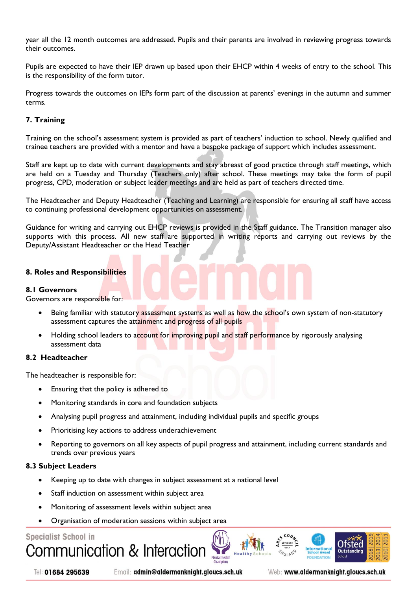year all the 12 month outcomes are addressed. Pupils and their parents are involved in reviewing progress towards their outcomes.

Pupils are expected to have their IEP drawn up based upon their EHCP within 4 weeks of entry to the school. This is the responsibility of the form tutor.

Progress towards the outcomes on IEPs form part of the discussion at parents' evenings in the autumn and summer terms.

#### **7. Training**

Training on the school's assessment system is provided as part of teachers' induction to school. Newly qualified and trainee teachers are provided with a mentor and have a bespoke package of support which includes assessment.

Staff are kept up to date with current developments and stay abreast of good practice through staff meetings, which are held on a Tuesday and Thursday (Teachers only) after school. These meetings may take the form of pupil progress, CPD, moderation or subject leader meetings and are held as part of teachers directed time.

The Headteacher and Deputy Headteacher (Teaching and Learning) are responsible for ensuring all staff have access to continuing professional development opportunities on assessment.

Guidance for writing and carrying out EHCP reviews is provided in the Staff guidance. The Transition manager also supports with this process. All new staff are supported in writing reports and carrying out reviews by the Deputy/Assistant Headteacher or the Head Teacher

#### **8. Roles and Responsibilities**

#### **8.1 Governors**

Governors are responsible for:

- Being familiar with statutory assessment systems as well as how the school's own system of non-statutory assessment captures the attainment and progress of all pupils
- Holding school leaders to account for improving pupil and staff performance by rigorously analysing assessment data

#### **8.2 Headteacher**

The headteacher is responsible for:

- Ensuring that the policy is adhered to
- Monitoring standards in core and foundation subjects
- Analysing pupil progress and attainment, including individual pupils and specific groups
- Prioritising key actions to address underachievement
- Reporting to governors on all key aspects of pupil progress and attainment, including current standards and trends over previous years

#### **8.3 Subject Leaders**

- Keeping up to date with changes in subject assessment at a national level
- Staff induction on assessment within subject area
- Monitoring of assessment levels within subject area
- Organisation of moderation sessions within subject area

#### **Specialist School in**







Email: admin@aldermanknight.gloucs.sch.uk

Web: www.aldermanknight.gloucs.sch.uk

nternationa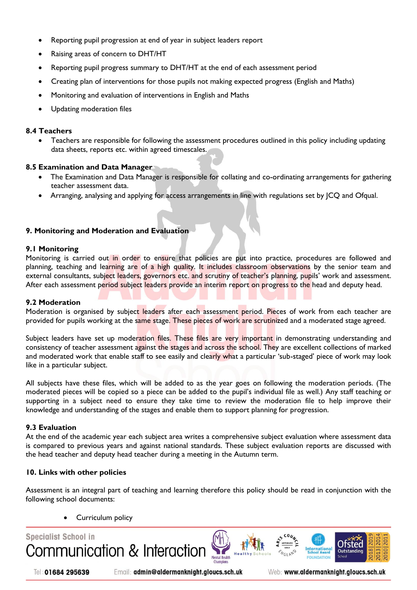- Reporting pupil progression at end of year in subject leaders report
- Raising areas of concern to DHT/HT
- Reporting pupil progress summary to DHT/HT at the end of each assessment period
- Creating plan of interventions for those pupils not making expected progress (English and Maths)
- Monitoring and evaluation of interventions in English and Maths
- Updating moderation files

#### **8.4 Teachers**

 Teachers are responsible for following the assessment procedures outlined in this policy including updating data sheets, reports etc. within agreed timescales.

#### **8.5 Examination and Data Manager**

- The Examination and Data Manager is responsible for collating and co-ordinating arrangements for gathering teacher assessment data.
- Arranging, analysing and applying for access arrangements in line with regulations set by JCQ and Ofqual.

#### **9. Monitoring and Moderation and Evaluation**

#### **9.1 Monitoring**

Monitoring is carried out in order to ensure that policies are put into practice, procedures are followed and planning, teaching and learning are of a high quality. It includes classroom observations by the senior team and external consultants, subject leaders, governors etc. and scrutiny of teacher's planning, pupils' work and assessment. After each assessment period subject leaders provide an interim report on progress to the head and deputy head.

#### **9.2 Moderation**

Moderation is organised by subject leaders after each assessment period. Pieces of work from each teacher are provided for pupils working at the same stage. These pieces of work are scrutinized and a moderated stage agreed.

Subject leaders have set up moderation files. These files are very important in demonstrating understanding and consistency of teacher assessment against the stages and across the school. They are excellent collections of marked and moderated work that enable staff to see easily and clearly what a particular 'sub-staged' piece of work may look like in a particular subject.

All subjects have these files, which will be added to as the year goes on following the moderation periods. (The moderated pieces will be copied so a piece can be added to the pupil's individual file as well.) Any staff teaching or supporting in a subject need to ensure they take time to review the moderation file to help improve their knowledge and understanding of the stages and enable them to support planning for progression.

#### **9.3 Evaluation**

At the end of the academic year each subject area writes a comprehensive subject evaluation where assessment data is compared to previous years and against national standards. These subject evaluation reports are discussed with the head teacher and deputy head teacher during a meeting in the Autumn term.

#### **10. Links with other policies**

Assessment is an integral part of teaching and learning therefore this policy should be read in conjunction with the following school documents:

Curriculum policy



Tel: 01684 295639

Email: admin@aldermanknight.gloucs.sch.uk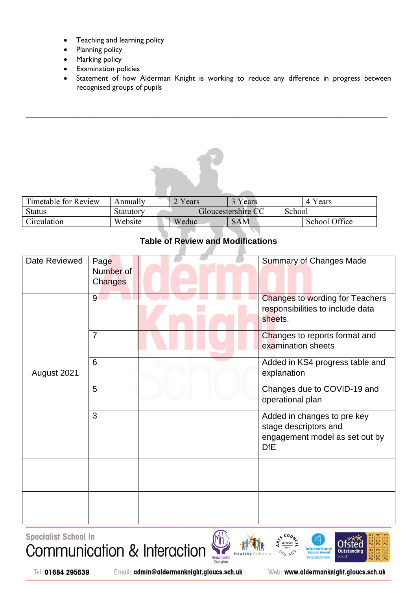- Teaching and learning policy
- Planning policy
- Marking policy
- Examination policies
- Statement of how Alderman Knight is working to reduce any difference in progress between recognised groups of pupils



 $\_$  , and the set of the set of the set of the set of the set of the set of the set of the set of the set of the set of the set of the set of the set of the set of the set of the set of the set of the set of the set of th

## **Table of Review and Modifications**

| Date Reviewed | Page<br>Number of<br><b>Changes</b> | <b>Summary of Changes Made</b>                                                                       |
|---------------|-------------------------------------|------------------------------------------------------------------------------------------------------|
| August 2021   | 9                                   | <b>Changes to wording for Teachers</b><br>responsibilities to include data<br>sheets.                |
|               | $\overline{7}$                      | Changes to reports format and<br>examination sheets                                                  |
|               | 6                                   | Added in KS4 progress table and<br>explanation                                                       |
|               | 5                                   | Changes due to COVID-19 and<br>operational plan                                                      |
|               | 3                                   | Added in changes to pre key<br>stage descriptors and<br>engagement model as set out by<br><b>DfE</b> |
|               |                                     |                                                                                                      |
|               |                                     |                                                                                                      |
|               |                                     |                                                                                                      |
|               |                                     |                                                                                                      |

Specialist School in Communication & Interaction





Web: www.aldermanknight.gloucs.sch.uk

International

FOL DATIO **Ofsted** 

Outstand

School

0210120